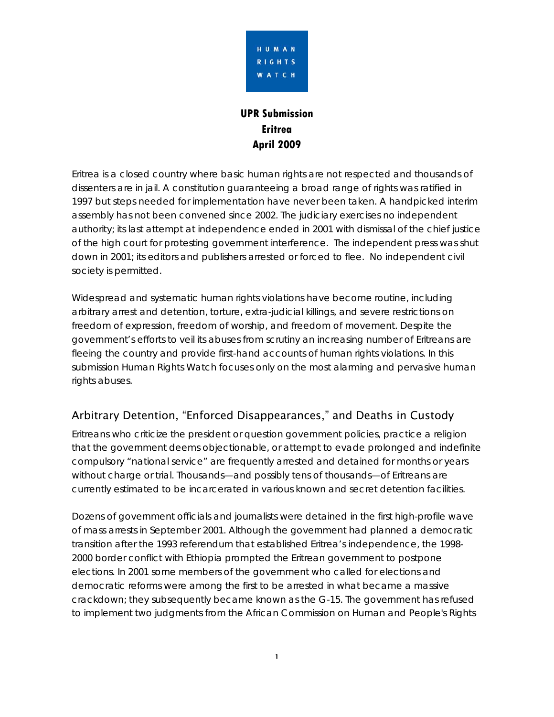

# **UPR Submission Eritrea April 2009**

Eritrea is a closed country where basic human rights are not respected and thousands of dissenters are in jail. A constitution guaranteeing a broad range of rights was ratified in 1997 but steps needed for implementation have never been taken. A handpicked interim assembly has not been convened since 2002. The judiciary exercises no independent authority; its last attempt at independence ended in 2001 with dismissal of the chief justice of the high court for protesting government interference. The independent press was shut down in 2001; its editors and publishers arrested or forced to flee. No independent civil society is permitted.

Widespread and systematic human rights violations have become routine, including arbitrary arrest and detention, torture, extra-judicial killings, and severe restrictions on freedom of expression, freedom of worship, and freedom of movement. Despite the government's efforts to veil its abuses from scrutiny an increasing number of Eritreans are fleeing the country and provide first-hand accounts of human rights violations. In this submission Human Rights Watch focuses only on the most alarming and pervasive human rights abuses.

# Arbitrary Detention, "Enforced Disappearances," and Deaths in Custody

Eritreans who criticize the president or question government policies, practice a religion that the government deems objectionable, or attempt to evade prolonged and indefinite compulsory "national service" are frequently arrested and detained for months or years without charge or trial. Thousands—and possibly tens of thousands—of Eritreans are currently estimated to be incarcerated in various known and secret detention facilities.

Dozens of government officials and journalists were detained in the first high-profile wave of mass arrests in September 2001. Although the government had planned a democratic transition after the 1993 referendum that established Eritrea's independence, the 1998- 2000 border conflict with Ethiopia prompted the Eritrean government to postpone elections. In 2001 some members of the government who called for elections and democratic reforms were among the first to be arrested in what became a massive crackdown; they subsequently became known as the G-15. The government has refused to implement two judgments from the African Commission on Human and People's Rights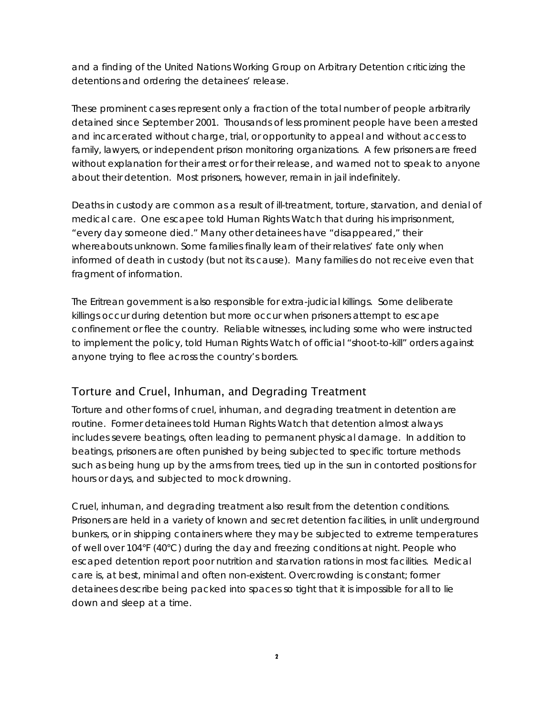and a finding of the United Nations Working Group on Arbitrary Detention criticizing the detentions and ordering the detainees' release.

These prominent cases represent only a fraction of the total number of people arbitrarily detained since September 2001. Thousands of less prominent people have been arrested and incarcerated without charge, trial, or opportunity to appeal and without access to family, lawyers, or independent prison monitoring organizations. A few prisoners are freed without explanation for their arrest or for their release, and warned not to speak to anyone about their detention. Most prisoners, however, remain in jail indefinitely.

Deaths in custody are common as a result of ill-treatment, torture, starvation, and denial of medical care. One escapee told Human Rights Watch that during his imprisonment, "every day someone died." Many other detainees have "disappeared," their whereabouts unknown. Some families finally learn of their relatives' fate only when informed of death in custody (but not its cause). Many families do not receive even that fragment of information.

The Eritrean government is also responsible for extra-judicial killings. Some deliberate killings occur during detention but more occur when prisoners attempt to escape confinement or flee the country. Reliable witnesses, including some who were instructed to implement the policy, told Human Rights Watch of official "shoot-to-kill" orders against anyone trying to flee across the country's borders.

## Torture and Cruel, Inhuman, and Degrading Treatment

Torture and other forms of cruel, inhuman, and degrading treatment in detention are routine. Former detainees told Human Rights Watch that detention almost always includes severe beatings, often leading to permanent physical damage. In addition to beatings, prisoners are often punished by being subjected to specific torture methods such as being hung up by the arms from trees, tied up in the sun in contorted positions for hours or days, and subjected to mock drowning.

Cruel, inhuman, and degrading treatment also result from the detention conditions. Prisoners are held in a variety of known and secret detention facilities, in unlit underground bunkers, or in shipping containers where they may be subjected to extreme temperatures of well over 104°F (40°C) during the day and freezing conditions at night. People who escaped detention report poor nutrition and starvation rations in most facilities. Medical care is, at best, minimal and often non-existent. Overcrowding is constant; former detainees describe being packed into spaces so tight that it is impossible for all to lie down and sleep at a time.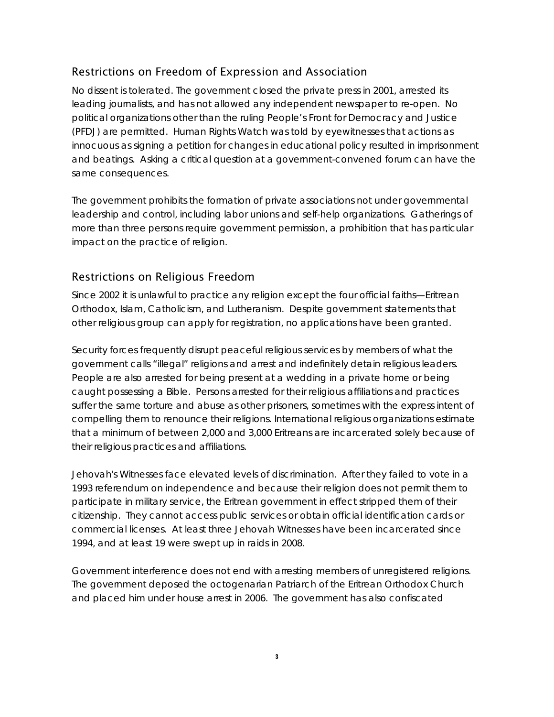## Restrictions on Freedom of Expression and Association

No dissent is tolerated. The government closed the private press in 2001, arrested its leading journalists, and has not allowed any independent newspaper to re-open. No political organizations other than the ruling People's Front for Democracy and Justice (PFDJ) are permitted. Human Rights Watch was told by eyewitnesses that actions as innocuous as signing a petition for changes in educational policy resulted in imprisonment and beatings. Asking a critical question at a government-convened forum can have the same consequences.

The government prohibits the formation of private associations not under governmental leadership and control, including labor unions and self-help organizations. Gatherings of more than three persons require government permission, a prohibition that has particular impact on the practice of religion.

# Restrictions on Religious Freedom

Since 2002 it is unlawful to practice any religion except the four official faiths—Eritrean Orthodox, Islam, Catholicism, and Lutheranism. Despite government statements that other religious group can apply for registration, no applications have been granted.

Security forces frequently disrupt peaceful religious services by members of what the government calls "illegal" religions and arrest and indefinitely detain religious leaders. People are also arrested for being present at a wedding in a private home or being caught possessing a Bible. Persons arrested for their religious affiliations and practices suffer the same torture and abuse as other prisoners, sometimes with the express intent of compelling them to renounce their religions. International religious organizations estimate that a minimum of between 2,000 and 3,000 Eritreans are incarcerated solely because of their religious practices and affiliations.

Jehovah's Witnesses face elevated levels of discrimination. After they failed to vote in a 1993 referendum on independence and because their religion does not permit them to participate in military service, the Eritrean government in effect stripped them of their citizenship. They cannot access public services or obtain official identification cards or commercial licenses. At least three Jehovah Witnesses have been incarcerated since 1994, and at least 19 were swept up in raids in 2008.

Government interference does not end with arresting members of unregistered religions. The government deposed the octogenarian Patriarch of the Eritrean Orthodox Church and placed him under house arrest in 2006. The government has also confiscated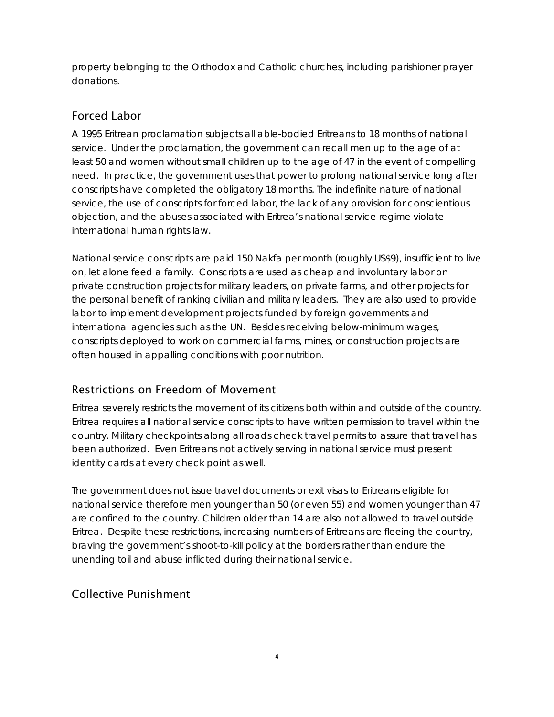property belonging to the Orthodox and Catholic churches, including parishioner prayer donations.

# Forced Labor

A 1995 Eritrean proclamation subjects all able-bodied Eritreans to 18 months of national service. Under the proclamation, the government can recall men up to the age of at least 50 and women without small children up to the age of 47 in the event of compelling need. In practice, the government uses that power to prolong national service long after conscripts have completed the obligatory 18 months. The indefinite nature of national service, the use of conscripts for forced labor, the lack of any provision for conscientious objection, and the abuses associated with Eritrea's national service regime violate international human rights law.

National service conscripts are paid 150 Nakfa per month (roughly US\$9), insufficient to live on, let alone feed a family. Conscripts are used as cheap and involuntary labor on private construction projects for military leaders, on private farms, and other projects for the personal benefit of ranking civilian and military leaders. They are also used to provide labor to implement development projects funded by foreign governments and international agencies such as the UN. Besides receiving below-minimum wages, conscripts deployed to work on commercial farms, mines, or construction projects are often housed in appalling conditions with poor nutrition.

# Restrictions on Freedom of Movement

Eritrea severely restricts the movement of its citizens both within and outside of the country. Eritrea requires all national service conscripts to have written permission to travel within the country. Military checkpoints along all roads check travel permits to assure that travel has been authorized. Even Eritreans not actively serving in national service must present identity cards at every check point as well.

The government does not issue travel documents or exit visas to Eritreans eligible for national service therefore men younger than 50 (or even 55) and women younger than 47 are confined to the country. Children older than 14 are also not allowed to travel outside Eritrea. Despite these restrictions, increasing numbers of Eritreans are fleeing the country, braving the government's shoot-to-kill policy at the borders rather than endure the unending toil and abuse inflicted during their national service.

# Collective Punishment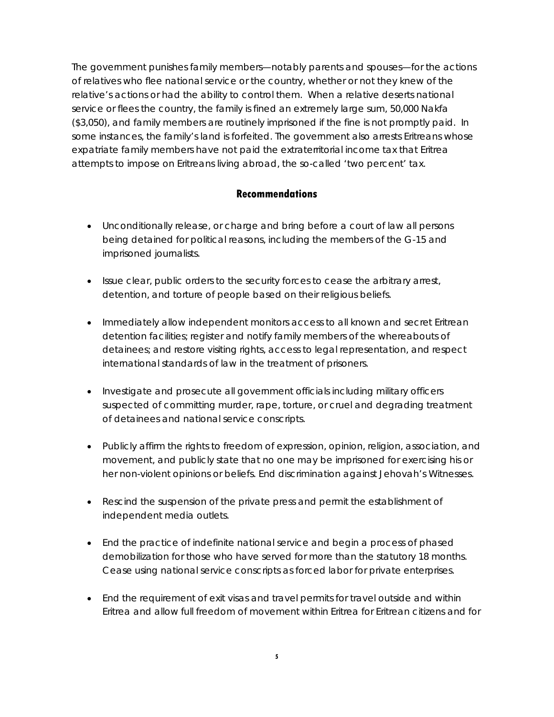The government punishes family members—notably parents and spouses—for the actions of relatives who flee national service or the country, whether or not they knew of the relative's actions or had the ability to control them. When a relative deserts national service or flees the country, the family is fined an extremely large sum, 50,000 Nakfa (\$3,050), and family members are routinely imprisoned if the fine is not promptly paid. In some instances, the family's land is forfeited. The government also arrests Eritreans whose expatriate family members have not paid the extraterritorial income tax that Eritrea attempts to impose on Eritreans living abroad, the so-called 'two percent' tax.

### **Recommendations**

- Unconditionally release, or charge and bring before a court of law all persons being detained for political reasons, including the members of the G-15 and imprisoned journalists.
- Issue clear, public orders to the security forces to cease the arbitrary arrest, detention, and torture of people based on their religious beliefs.
- Immediately allow independent monitors access to all known and secret Eritrean detention facilities; register and notify family members of the whereabouts of detainees; and restore visiting rights, access to legal representation, and respect international standards of law in the treatment of prisoners.
- Investigate and prosecute all government officials including military officers suspected of committing murder, rape, torture, or cruel and degrading treatment of detainees and national service conscripts.
- Publicly affirm the rights to freedom of expression, opinion, religion, association, and movement, and publicly state that no one may be imprisoned for exercising his or her non-violent opinions or beliefs. End discrimination against Jehovah's Witnesses.
- Rescind the suspension of the private press and permit the establishment of independent media outlets.
- End the practice of indefinite national service and begin a process of phased demobilization for those who have served for more than the statutory 18 months. Cease using national service conscripts as forced labor for private enterprises.
- End the requirement of exit visas and travel permits for travel outside and within Eritrea and allow full freedom of movement within Eritrea for Eritrean citizens and for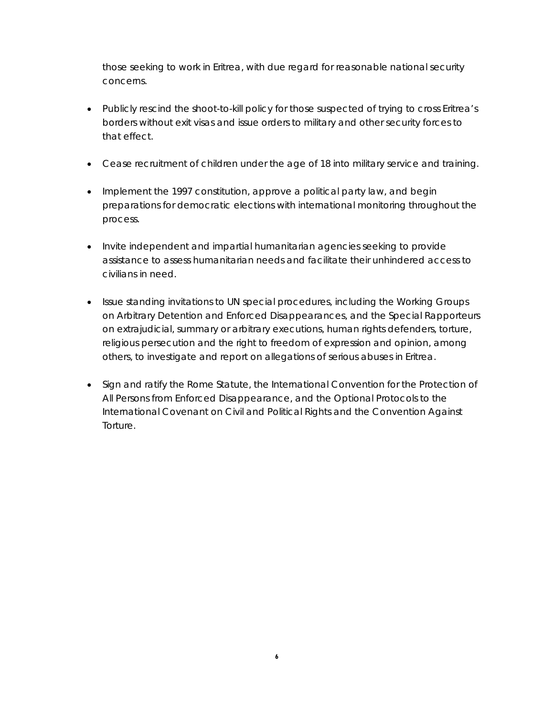those seeking to work in Eritrea, with due regard for reasonable national security concerns.

- Publicly rescind the shoot-to-kill policy for those suspected of trying to cross Eritrea's borders without exit visas and issue orders to military and other security forces to that effect.
- Cease recruitment of children under the age of 18 into military service and training.
- Implement the 1997 constitution, approve a political party law, and begin preparations for democratic elections with international monitoring throughout the process.
- Invite independent and impartial humanitarian agencies seeking to provide assistance to assess humanitarian needs and facilitate their unhindered access to civilians in need.
- Issue standing invitations to UN special procedures, including the Working Groups on Arbitrary Detention and Enforced Disappearances, and the Special Rapporteurs on extrajudicial, summary or arbitrary executions, human rights defenders, torture, religious persecution and the right to freedom of expression and opinion, among others, to investigate and report on allegations of serious abuses in Eritrea.
- Sign and ratify the Rome Statute, the International Convention for the Protection of All Persons from Enforced Disappearance, and the Optional Protocols to the International Covenant on Civil and Political Rights and the Convention Against Torture.